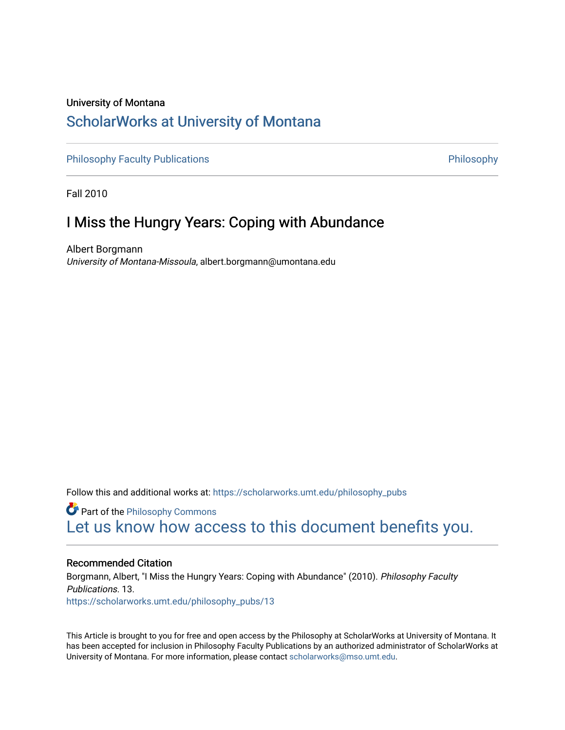### University of Montana [ScholarWorks at University of Montana](https://scholarworks.umt.edu/)

[Philosophy Faculty Publications](https://scholarworks.umt.edu/philosophy_pubs) **Philosophy** Philosophy

Fall 2010

## I Miss the Hungry Years: Coping with Abundance

Albert Borgmann University of Montana-Missoula, albert.borgmann@umontana.edu

Follow this and additional works at: [https://scholarworks.umt.edu/philosophy\\_pubs](https://scholarworks.umt.edu/philosophy_pubs?utm_source=scholarworks.umt.edu%2Fphilosophy_pubs%2F13&utm_medium=PDF&utm_campaign=PDFCoverPages)

**Part of the Philosophy Commons** [Let us know how access to this document benefits you.](https://goo.gl/forms/s2rGfXOLzz71qgsB2) 

#### Recommended Citation

Borgmann, Albert, "I Miss the Hungry Years: Coping with Abundance" (2010). Philosophy Faculty Publications. 13. [https://scholarworks.umt.edu/philosophy\\_pubs/13](https://scholarworks.umt.edu/philosophy_pubs/13?utm_source=scholarworks.umt.edu%2Fphilosophy_pubs%2F13&utm_medium=PDF&utm_campaign=PDFCoverPages) 

This Article is brought to you for free and open access by the Philosophy at ScholarWorks at University of Montana. It has been accepted for inclusion in Philosophy Faculty Publications by an authorized administrator of ScholarWorks at University of Montana. For more information, please contact [scholarworks@mso.umt.edu.](mailto:scholarworks@mso.umt.edu)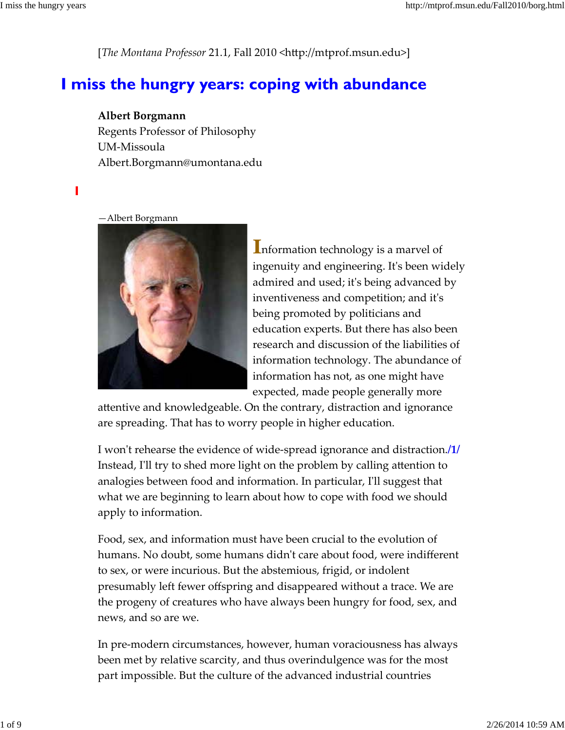[*The Montana Professor* 21.1, Fall 2010 <http://mtprof.msun.edu>]

# I miss the hungry years: coping with abundance

### **Albert Borgmann**

Regents Professor of Philosophy UM‐Missoula Albert.Borgmann@umontana.edu

#### **I**

—Albert Borgmann



nformation technology is a marvel of ingenuity and engineering. Itʹs been widely admired and used; itʹs being advanced by inventiveness and competition; and itʹs being promoted by politicians and education experts. But there has also been research and discussion of the liabilities of information technology. The abundance of information has not, as one might have expected, made people generally more

attentive and knowledgeable. On the contrary, distraction and ignorance are spreading. That has to worry people in higher education.

I wonʹt rehearse the evidence of wide‐spread ignorance and distraction.**/1/** Instead, I'll try to shed more light on the problem by calling attention to analogies between food and information. In particular, Iʹll suggest that what we are beginning to learn about how to cope with food we should apply to information.

Food, sex, and information must have been crucial to the evolution of humans. No doubt, some humans didnʹt care about food, were indifferent to sex, or were incurious. But the abstemious, frigid, or indolent presumably left fewer offspring and disappeared without a trace. We are the progeny of creatures who have always been hungry for food, sex, and news, and so are we.

In pre‐modern circumstances, however, human voraciousness has always been met by relative scarcity, and thus overindulgence was for the most part impossible. But the culture of the advanced industrial countries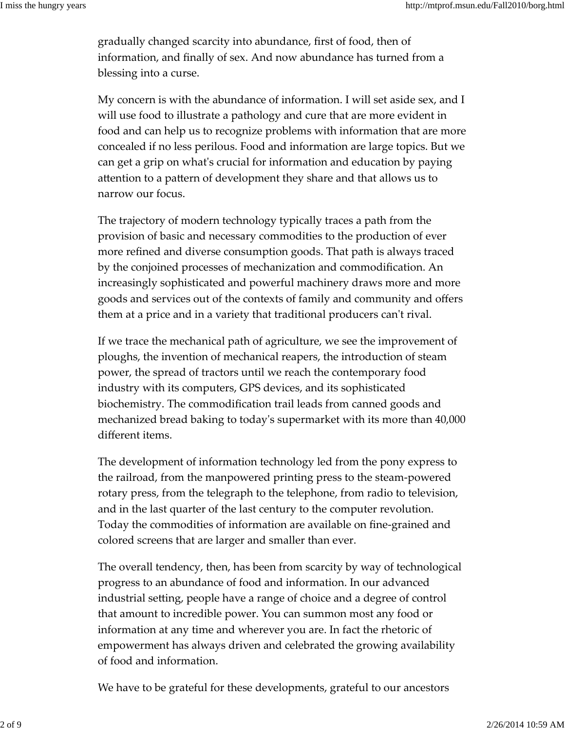gradually changed scarcity into abundance, first of food, then of information, and finally of sex. And now abundance has turned from a blessing into a curse.

My concern is with the abundance of information. I will set aside sex, and I will use food to illustrate a pathology and cure that are more evident in food and can help us to recognize problems with information that are more concealed if no less perilous. Food and information are large topics. But we can get a grip on whatʹs crucial for information and education by paying attention to a pattern of development they share and that allows us to narrow our focus.

The trajectory of modern technology typically traces a path from the provision of basic and necessary commodities to the production of ever more refined and diverse consumption goods. That path is always traced by the conjoined processes of mechanization and commodification. An increasingly sophisticated and powerful machinery draws more and more goods and services out of the contexts of family and community and offers them at a price and in a variety that traditional producers canʹt rival.

If we trace the mechanical path of agriculture, we see the improvement of ploughs, the invention of mechanical reapers, the introduction of steam power, the spread of tractors until we reach the contemporary food industry with its computers, GPS devices, and its sophisticated biochemistry. The commodification trail leads from canned goods and mechanized bread baking to todayʹs supermarket with its more than 40,000 different items.

The development of information technology led from the pony express to the railroad, from the manpowered printing press to the steam‐powered rotary press, from the telegraph to the telephone, from radio to television, and in the last quarter of the last century to the computer revolution. Today the commodities of information are available on fine‐grained and colored screens that are larger and smaller than ever.

The overall tendency, then, has been from scarcity by way of technological progress to an abundance of food and information. In our advanced industrial setting, people have a range of choice and a degree of control that amount to incredible power. You can summon most any food or information at any time and wherever you are. In fact the rhetoric of empowerment has always driven and celebrated the growing availability of food and information.

We have to be grateful for these developments, grateful to our ancestors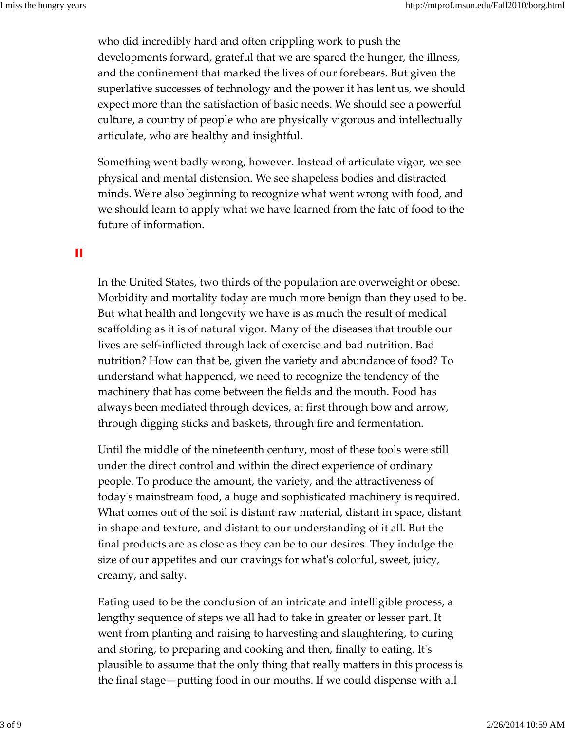who did incredibly hard and often crippling work to push the developments forward, grateful that we are spared the hunger, the illness, and the confinement that marked the lives of our forebears. But given the superlative successes of technology and the power it has lent us, we should expect more than the satisfaction of basic needs. We should see a powerful culture, a country of people who are physically vigorous and intellectually articulate, who are healthy and insightful.

Something went badly wrong, however. Instead of articulate vigor, we see physical and mental distension. We see shapeless bodies and distracted minds. We're also beginning to recognize what went wrong with food, and we should learn to apply what we have learned from the fate of food to the future of information.

#### **II**

In the United States, two thirds of the population are overweight or obese. Morbidity and mortality today are much more benign than they used to be. But what health and longevity we have is as much the result of medical scaffolding as it is of natural vigor. Many of the diseases that trouble our lives are self‐inflicted through lack of exercise and bad nutrition. Bad nutrition? How can that be, given the variety and abundance of food? To understand what happened, we need to recognize the tendency of the machinery that has come between the fields and the mouth. Food has always been mediated through devices, at first through bow and arrow, through digging sticks and baskets, through fire and fermentation.

Until the middle of the nineteenth century, most of these tools were still under the direct control and within the direct experience of ordinary people. To produce the amount, the variety, and the attractiveness of todayʹs mainstream food, a huge and sophisticated machinery is required. What comes out of the soil is distant raw material, distant in space, distant in shape and texture, and distant to our understanding of it all. But the final products are as close as they can be to our desires. They indulge the size of our appetites and our cravings for what's colorful, sweet, juicy, creamy, and salty.

Eating used to be the conclusion of an intricate and intelligible process, a lengthy sequence of steps we all had to take in greater or lesser part. It went from planting and raising to harvesting and slaughtering, to curing and storing, to preparing and cooking and then, finally to eating. Itʹs plausible to assume that the only thing that really matters in this process is the final stage—putting food in our mouths. If we could dispense with all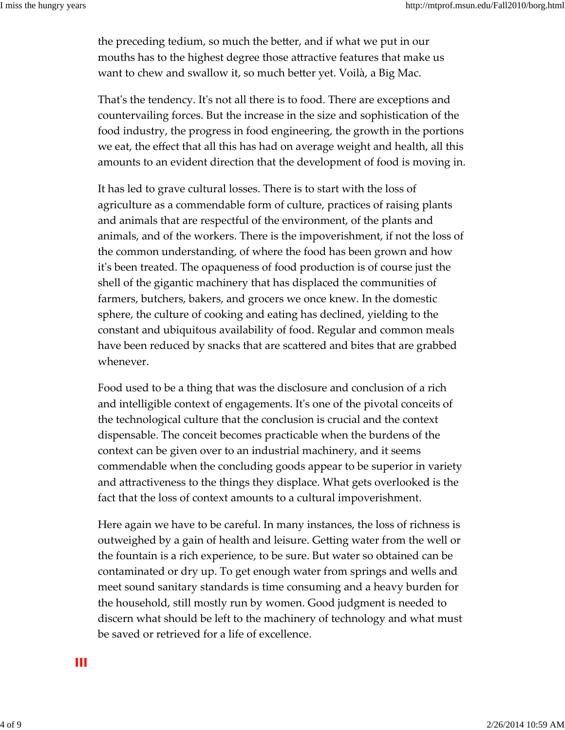the preceding tedium, so much the better, and if what we put in our mouths has to the highest degree those attractive features that make us want to chew and swallow it, so much better yet. Voilà, a Big Mac.

That's the tendency. It's not all there is to food. There are exceptions and countervailing forces. But the increase in the size and sophistication of the food industry, the progress in food engineering, the growth in the portions we eat, the effect that all this has had on average weight and health, all this amounts to an evident direction that the development of food is moving in.

It has led to grave cultural losses. There is to start with the loss of agriculture as a commendable form of culture, practices of raising plants and animals that are respectful of the environment, of the plants and animals, and of the workers. There is the impoverishment, if not the loss of the common understanding, of where the food has been grown and how itʹs been treated. The opaqueness of food production is of course just the shell of the gigantic machinery that has displaced the communities of farmers, butchers, bakers, and grocers we once knew. In the domestic sphere, the culture of cooking and eating has declined, yielding to the constant and ubiquitous availability of food. Regular and common meals have been reduced by snacks that are scattered and bites that are grabbed whenever.

Food used to be a thing that was the disclosure and conclusion of a rich and intelligible context of engagements. Itʹs one of the pivotal conceits of the technological culture that the conclusion is crucial and the context dispensable. The conceit becomes practicable when the burdens of the context can be given over to an industrial machinery, and it seems commendable when the concluding goods appear to be superior in variety and attractiveness to the things they displace. What gets overlooked is the fact that the loss of context amounts to a cultural impoverishment.

Here again we have to be careful. In many instances, the loss of richness is outweighed by a gain of health and leisure. Getting water from the well or the fountain is a rich experience, to be sure. But water so obtained can be contaminated or dry up. To get enough water from springs and wells and meet sound sanitary standards is time consuming and a heavy burden for the household, still mostly run by women. Good judgment is needed to discern what should be left to the machinery of technology and what must be saved or retrieved for a life of excellence.

**III**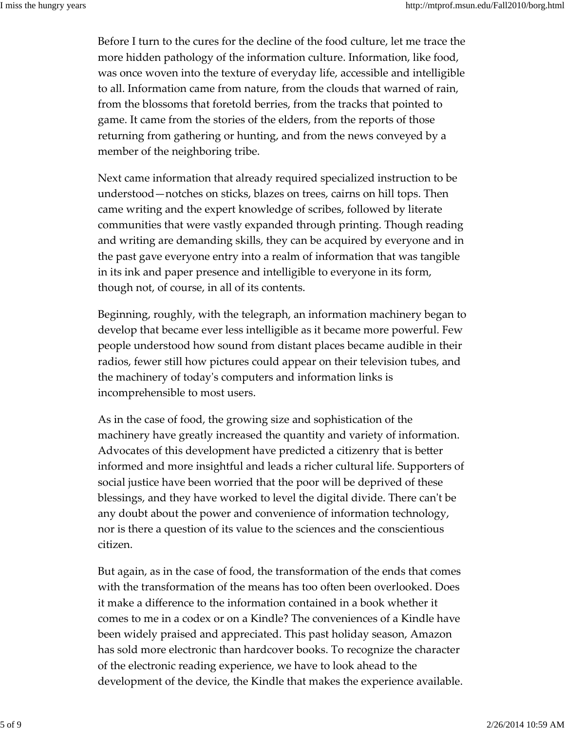Before I turn to the cures for the decline of the food culture, let me trace the more hidden pathology of the information culture. Information, like food, was once woven into the texture of everyday life, accessible and intelligible to all. Information came from nature, from the clouds that warned of rain, from the blossoms that foretold berries, from the tracks that pointed to game. It came from the stories of the elders, from the reports of those returning from gathering or hunting, and from the news conveyed by a member of the neighboring tribe.

Next came information that already required specialized instruction to be understood—notches on sticks, blazes on trees, cairns on hill tops. Then came writing and the expert knowledge of scribes, followed by literate communities that were vastly expanded through printing. Though reading and writing are demanding skills, they can be acquired by everyone and in the past gave everyone entry into a realm of information that was tangible in its ink and paper presence and intelligible to everyone in its form, though not, of course, in all of its contents.

Beginning, roughly, with the telegraph, an information machinery began to develop that became ever less intelligible as it became more powerful. Few people understood how sound from distant places became audible in their radios, fewer still how pictures could appear on their television tubes, and the machinery of todayʹs computers and information links is incomprehensible to most users.

As in the case of food, the growing size and sophistication of the machinery have greatly increased the quantity and variety of information. Advocates of this development have predicted a citizenry that is better informed and more insightful and leads a richer cultural life. Supporters of social justice have been worried that the poor will be deprived of these blessings, and they have worked to level the digital divide. There can't be any doubt about the power and convenience of information technology, nor is there a question of its value to the sciences and the conscientious citizen.

But again, as in the case of food, the transformation of the ends that comes with the transformation of the means has too often been overlooked. Does it make a difference to the information contained in a book whether it comes to me in a codex or on a Kindle? The conveniences of a Kindle have been widely praised and appreciated. This past holiday season, Amazon has sold more electronic than hardcover books. To recognize the character of the electronic reading experience, we have to look ahead to the development of the device, the Kindle that makes the experience available.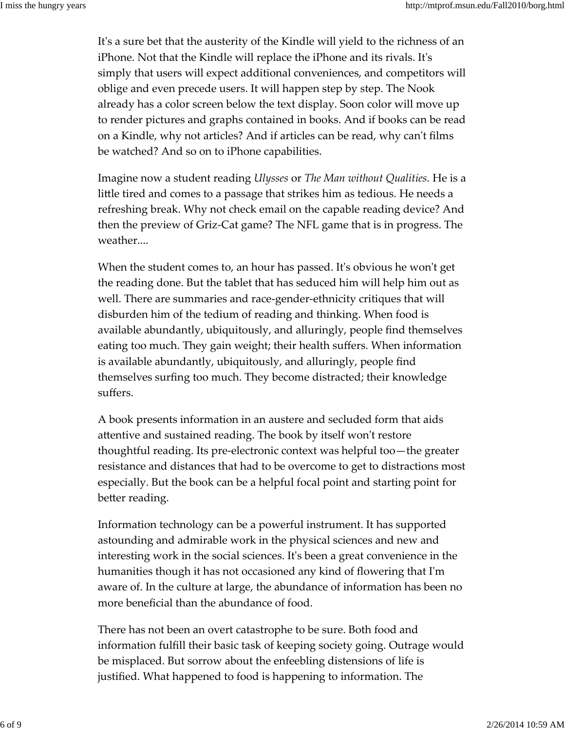It's a sure bet that the austerity of the Kindle will yield to the richness of an iPhone. Not that the Kindle will replace the iPhone and its rivals. Itʹs simply that users will expect additional conveniences, and competitors will oblige and even precede users. It will happen step by step. The Nook already has a color screen below the text display. Soon color will move up to render pictures and graphs contained in books. And if books can be read on a Kindle, why not articles? And if articles can be read, why canʹt films be watched? And so on to iPhone capabilities.

Imagine now a student reading *Ulysses* or *The Man without Qualities.* He is a little tired and comes to a passage that strikes him as tedious. He needs a refreshing break. Why not check email on the capable reading device? And then the preview of Griz‐Cat game? The NFL game that is in progress. The weather....

When the student comes to, an hour has passed. It's obvious he won't get the reading done. But the tablet that has seduced him will help him out as well. There are summaries and race‐gender‐ethnicity critiques that will disburden him of the tedium of reading and thinking. When food is available abundantly, ubiquitously, and alluringly, people find themselves eating too much. They gain weight; their health suffers. When information is available abundantly, ubiquitously, and alluringly, people find themselves surfing too much. They become distracted; their knowledge suffers.

A book presents information in an austere and secluded form that aids attentive and sustained reading. The book by itself won't restore thoughtful reading. Its pre‐electronic context was helpful too—the greater resistance and distances that had to be overcome to get to distractions most especially. But the book can be a helpful focal point and starting point for better reading.

Information technology can be a powerful instrument. It has supported astounding and admirable work in the physical sciences and new and interesting work in the social sciences. Itʹs been a great convenience in the humanities though it has not occasioned any kind of flowering that Iʹm aware of. In the culture at large, the abundance of information has been no more beneficial than the abundance of food.

There has not been an overt catastrophe to be sure. Both food and information fulfill their basic task of keeping society going. Outrage would be misplaced. But sorrow about the enfeebling distensions of life is justified. What happened to food is happening to information. The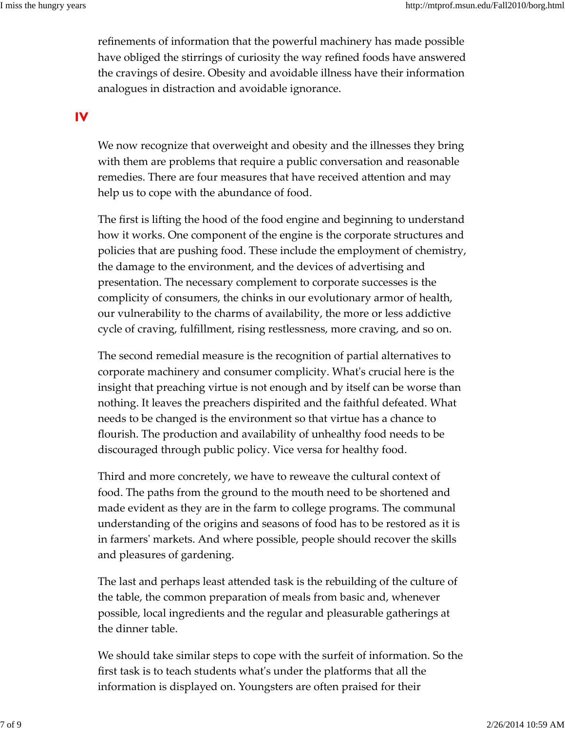refinements of information that the powerful machinery has made possible have obliged the stirrings of curiosity the way refined foods have answered the cravings of desire. Obesity and avoidable illness have their information analogues in distraction and avoidable ignorance.

**IV**

We now recognize that overweight and obesity and the illnesses they bring with them are problems that require a public conversation and reasonable remedies. There are four measures that have received attention and may help us to cope with the abundance of food.

The first is lifting the hood of the food engine and beginning to understand how it works. One component of the engine is the corporate structures and policies that are pushing food. These include the employment of chemistry, the damage to the environment, and the devices of advertising and presentation. The necessary complement to corporate successes is the complicity of consumers, the chinks in our evolutionary armor of health, our vulnerability to the charms of availability, the more or less addictive cycle of craving, fulfillment, rising restlessness, more craving, and so on.

The second remedial measure is the recognition of partial alternatives to corporate machinery and consumer complicity. Whatʹs crucial here is the insight that preaching virtue is not enough and by itself can be worse than nothing. It leaves the preachers dispirited and the faithful defeated. What needs to be changed is the environment so that virtue has a chance to flourish. The production and availability of unhealthy food needs to be discouraged through public policy. Vice versa for healthy food.

Third and more concretely, we have to reweave the cultural context of food. The paths from the ground to the mouth need to be shortened and made evident as they are in the farm to college programs. The communal understanding of the origins and seasons of food has to be restored as it is in farmersʹ markets. And where possible, people should recover the skills and pleasures of gardening.

The last and perhaps least attended task is the rebuilding of the culture of the table, the common preparation of meals from basic and, whenever possible, local ingredients and the regular and pleasurable gatherings at the dinner table.

We should take similar steps to cope with the surfeit of information. So the first task is to teach students whatʹs under the platforms that all the information is displayed on. Youngsters are often praised for their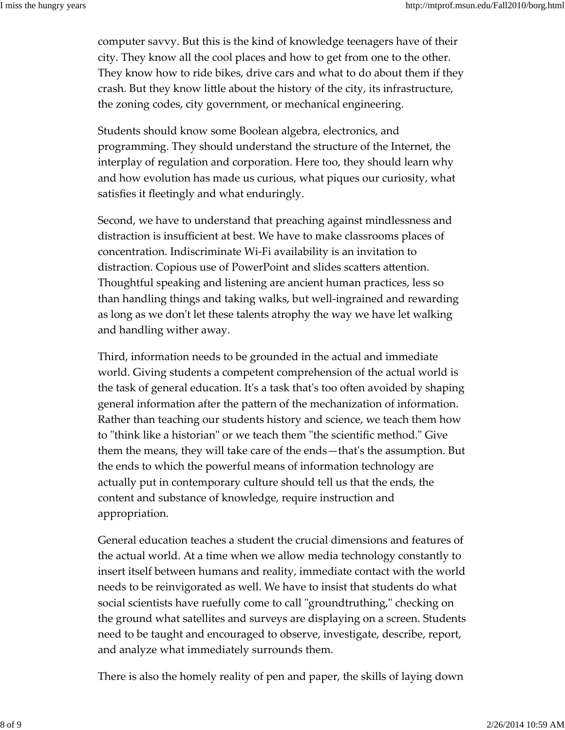computer savvy. But this is the kind of knowledge teenagers have of their city. They know all the cool places and how to get from one to the other. They know how to ride bikes, drive cars and what to do about them if they crash. But they know little about the history of the city, its infrastructure, the zoning codes, city government, or mechanical engineering.

Students should know some Boolean algebra, electronics, and programming. They should understand the structure of the Internet, the interplay of regulation and corporation. Here too, they should learn why and how evolution has made us curious, what piques our curiosity, what satisfies it fleetingly and what enduringly.

Second, we have to understand that preaching against mindlessness and distraction is insufficient at best. We have to make classrooms places of concentration. Indiscriminate Wi‐Fi availability is an invitation to distraction. Copious use of PowerPoint and slides scatters attention. Thoughtful speaking and listening are ancient human practices, less so than handling things and taking walks, but well‐ingrained and rewarding as long as we don't let these talents atrophy the way we have let walking and handling wither away.

Third, information needs to be grounded in the actual and immediate world. Giving students a competent comprehension of the actual world is the task of general education. Itʹs a task thatʹs too often avoided by shaping general information after the pattern of the mechanization of information. Rather than teaching our students history and science, we teach them how to "think like a historian" or we teach them "the scientific method." Give them the means, they will take care of the ends—thatʹs the assumption. But the ends to which the powerful means of information technology are actually put in contemporary culture should tell us that the ends, the content and substance of knowledge, require instruction and appropriation.

General education teaches a student the crucial dimensions and features of the actual world. At a time when we allow media technology constantly to insert itself between humans and reality, immediate contact with the world needs to be reinvigorated as well. We have to insist that students do what social scientists have ruefully come to call "groundtruthing," checking on the ground what satellites and surveys are displaying on a screen. Students need to be taught and encouraged to observe, investigate, describe, report, and analyze what immediately surrounds them.

There is also the homely reality of pen and paper, the skills of laying down